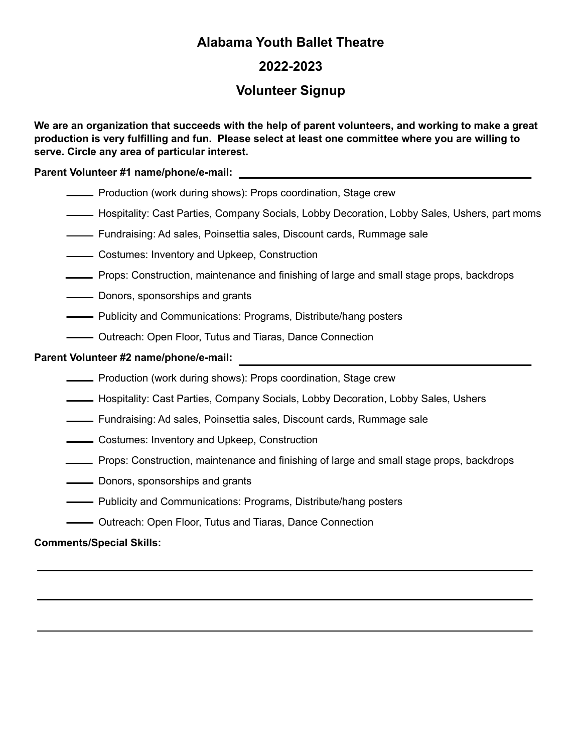## **Alabama Youth Ballet Theatre**

## **2022-2023**

## **Volunteer Signup**

We are an organization that succeeds with the help of parent volunteers, and working to make a great **production is very fulfilling and fun. Please select at least one committee where you are willing to serve. Circle any area of particular interest.**

**Parent Volunteer #1 name/phone/e-mail:**

**EXECT** Production (work during shows): Props coordination, Stage crew

- Hospitality: Cast Parties, Company Socials, Lobby Decoration, Lobby Sales, Ushers, part moms
- Fundraising: Ad sales, Poinsettia sales, Discount cards, Rummage sale

**Costumes: Inventory and Upkeep, Construction** 

- Props: Construction, maintenance and finishing of large and small stage props, backdrops
- **Nonors**, sponsorships and grants
- **-** Publicity and Communications: Programs, Distribute/hang posters
- **-** Outreach: Open Floor, Tutus and Tiaras, Dance Connection

#### **Parent Volunteer #2 name/phone/e-mail:**

- **FROM** Production (work during shows): Props coordination, Stage crew
- Hospitality: Cast Parties, Company Socials, Lobby Decoration, Lobby Sales, Ushers
- Fundraising: Ad sales, Poinsettia sales, Discount cards, Rummage sale
- **Costumes: Inventory and Upkeep, Construction**
- Props: Construction, maintenance and finishing of large and small stage props, backdrops
- Donors, sponsorships and grants
- Publicity and Communications: Programs, Distribute/hang posters
- **-** Outreach: Open Floor, Tutus and Tiaras, Dance Connection

#### **Comments/Special Skills:**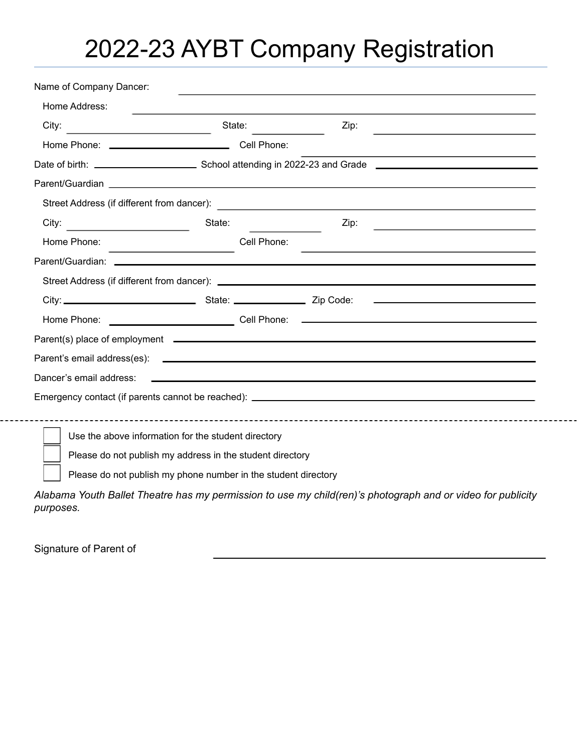# 2022-23 AYBT Company Registration

| City:<br><u> 1980 - Johann Barbara, martxa alemani</u> ar a | State:                                                                     | Zip:                                                                                                                       | <u> 1989 - Johann Barbara, martin amerikan basal dan berasal dan berasal dalam basal dan berasal dalam berasal da</u> |
|-------------------------------------------------------------|----------------------------------------------------------------------------|----------------------------------------------------------------------------------------------------------------------------|-----------------------------------------------------------------------------------------------------------------------|
|                                                             | Home Phone: <u>Call Phone:</u> Cell Phone:                                 |                                                                                                                            | the control of the control of the control of the control of the control of the control of                             |
|                                                             |                                                                            |                                                                                                                            |                                                                                                                       |
|                                                             |                                                                            |                                                                                                                            |                                                                                                                       |
|                                                             |                                                                            |                                                                                                                            |                                                                                                                       |
| City:                                                       | State:                                                                     | Zip:                                                                                                                       |                                                                                                                       |
| Home Phone:                                                 | Cell Phone:<br>the control of the control of the control of the control of | <u> 1989 - Johann Stoff, amerikansk politiker (d. 1989)</u>                                                                |                                                                                                                       |
|                                                             |                                                                            |                                                                                                                            |                                                                                                                       |
|                                                             |                                                                            |                                                                                                                            |                                                                                                                       |
|                                                             |                                                                            |                                                                                                                            |                                                                                                                       |
|                                                             |                                                                            |                                                                                                                            |                                                                                                                       |
|                                                             |                                                                            |                                                                                                                            |                                                                                                                       |
|                                                             |                                                                            |                                                                                                                            |                                                                                                                       |
| Dancer's email address:                                     |                                                                            | <u>and the contract of the contract of the contract of the contract of the contract of the contract of the contract of</u> |                                                                                                                       |
|                                                             |                                                                            |                                                                                                                            |                                                                                                                       |
|                                                             |                                                                            |                                                                                                                            |                                                                                                                       |
|                                                             | Use the above information for the student directory                        |                                                                                                                            |                                                                                                                       |
|                                                             | Please do not publish my address in the student directory                  |                                                                                                                            |                                                                                                                       |
|                                                             | Please do not publish my phone number in the student directory             |                                                                                                                            |                                                                                                                       |

*purposes.*

Signature of Parent of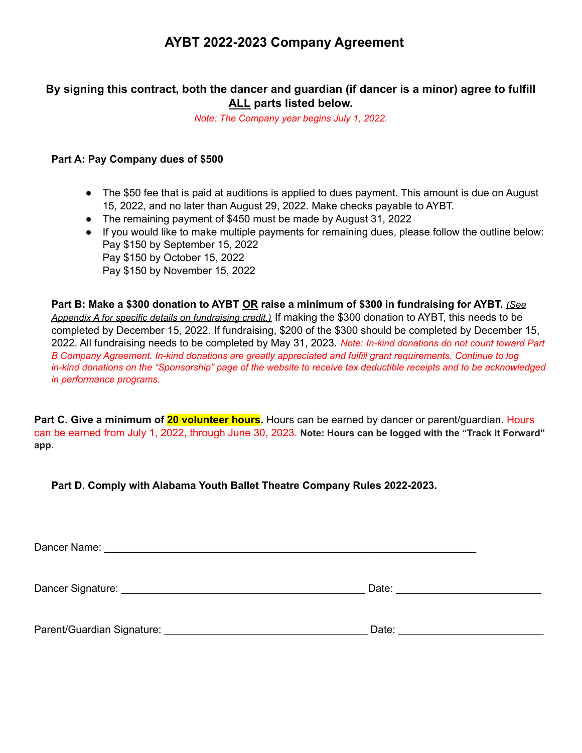## **AYBT 2022-2023 Company Agreement**

## **By signing this contract, both the dancer and guardian (if dancer is a minor) agree to fulfill ALL parts listed below.**

*Note: The Company year begins July 1, 2022.*

#### **Part A: Pay Company dues of \$500**

- The \$50 fee that is paid at auditions is applied to dues payment. This amount is due on August 15, 2022, and no later than August 29, 2022. Make checks payable to AYBT.
- The remaining payment of \$450 must be made by August 31, 2022
- If you would like to make multiple payments for remaining dues, please follow the outline below: Pay \$150 by September 15, 2022 Pay \$150 by October 15, 2022 Pay \$150 by November 15, 2022

Part B: Make a \$300 donation to AYBT OR raise a minimum of \$300 in fundraising for AYBT. (See *Appendix A for specific details on fundraising credit.)* If making the \$300 donation to AYBT, this needs to be completed by December 15, 2022. If fundraising, \$200 of the \$300 should be completed by December 15, 2022. All fundraising needs to be completed by May 31, 2023. *Note: In-kind donations do not count toward Part B Company Agreement. In-kind donations are greatly appreciated and fulfill grant requirements. Continue to log* in-kind donations on the "Sponsorship" page of the website to receive tax deductible receipts and to be acknowledged *in performance programs.*

**Part C. Give a minimum of 20 volunteer hours.** Hours can be earned by dancer or parent/guardian. Hours can be earned from July 1, 2022, through June 30, 2023. **Note: Hours can be logged with the "Track it Forward" app.**

**Part D. Comply with Alabama Youth Ballet Theatre Company Rules 2022-2023.**

Dancer Name: **Example 20** and 20 and 20 and 20 and 20 and 20 and 20 and 20 and 20 and 20 and 20 and 20 and 20 and 20 and 20 and 20 and 20 and 20 and 20 and 20 and 20 and 20 and 20 and 20 and 20 and 20 and 20 and 20 and 20 Dancer Signature: \_\_\_\_\_\_\_\_\_\_\_\_\_\_\_\_\_\_\_\_\_\_\_\_\_\_\_\_\_\_\_\_\_\_\_\_\_\_\_\_\_\_ Date: \_\_\_\_\_\_\_\_\_\_\_\_\_\_\_\_\_\_\_\_\_\_\_\_\_ Parent/Guardian Signature: \_\_\_\_\_\_\_\_\_\_\_\_\_\_\_\_\_\_\_\_\_\_\_\_\_\_\_\_\_\_\_\_\_\_\_ Date: \_\_\_\_\_\_\_\_\_\_\_\_\_\_\_\_\_\_\_\_\_\_\_\_\_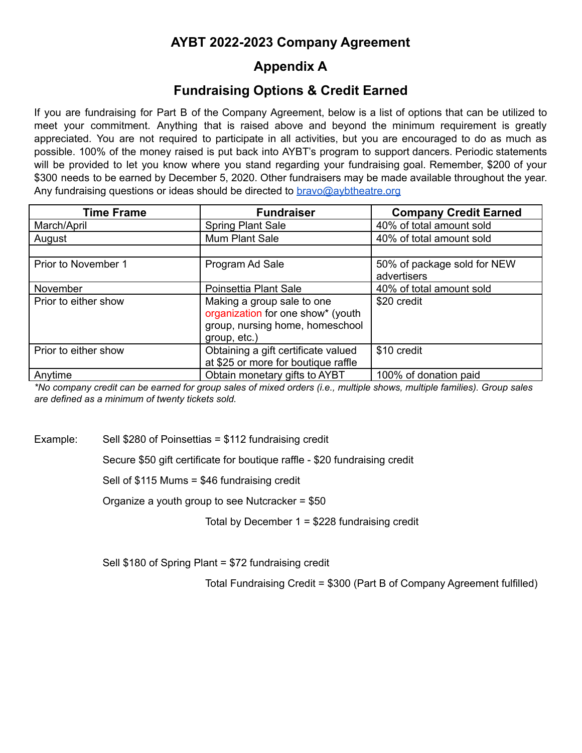# **AYBT 2022-2023 Company Agreement**

# **Appendix A**

## **Fundraising Options & Credit Earned**

If you are fundraising for Part B of the Company Agreement, below is a list of options that can be utilized to meet your commitment. Anything that is raised above and beyond the minimum requirement is greatly appreciated. You are not required to participate in all activities, but you are encouraged to do as much as possible. 100% of the money raised is put back into AYBT's program to support dancers. Periodic statements will be provided to let you know where you stand regarding your fundraising goal. Remember, \$200 of your \$300 needs to be earned by December 5, 2020. Other fundraisers may be made available throughout the year. Any fundraising questions or ideas should be directed to [bravo@aybtheatre.org](mailto:bravo@aybtheatre.org)

| <b>Time Frame</b>    | <b>Fundraiser</b>                                                                                                  | <b>Company Credit Earned</b>               |
|----------------------|--------------------------------------------------------------------------------------------------------------------|--------------------------------------------|
| March/April          | <b>Spring Plant Sale</b>                                                                                           | 40% of total amount sold                   |
| August               | Mum Plant Sale                                                                                                     | 40% of total amount sold                   |
|                      |                                                                                                                    |                                            |
| Prior to November 1  | Program Ad Sale                                                                                                    | 50% of package sold for NEW<br>advertisers |
| November             | Poinsettia Plant Sale                                                                                              | 40% of total amount sold                   |
| Prior to either show | Making a group sale to one<br>organization for one show* (youth<br>group, nursing home, homeschool<br>group, etc.) | \$20 credit                                |
| Prior to either show | Obtaining a gift certificate valued<br>at \$25 or more for boutique raffle                                         | \$10 credit                                |
| Anytime              | Obtain monetary gifts to AYBT                                                                                      | 100% of donation paid                      |

\*No company credit can be earned for group sales of mixed orders (i.e., multiple shows, multiple families). Group sales *are defined as a minimum of twenty tickets sold.*

Example: Sell \$280 of Poinsettias = \$112 fundraising credit

Secure \$50 gift certificate for boutique raffle - \$20 fundraising credit

Sell of \$115 Mums = \$46 fundraising credit

Organize a youth group to see Nutcracker = \$50

Total by December 1 = \$228 fundraising credit

Sell \$180 of Spring Plant = \$72 fundraising credit

Total Fundraising Credit = \$300 (Part B of Company Agreement fulfilled)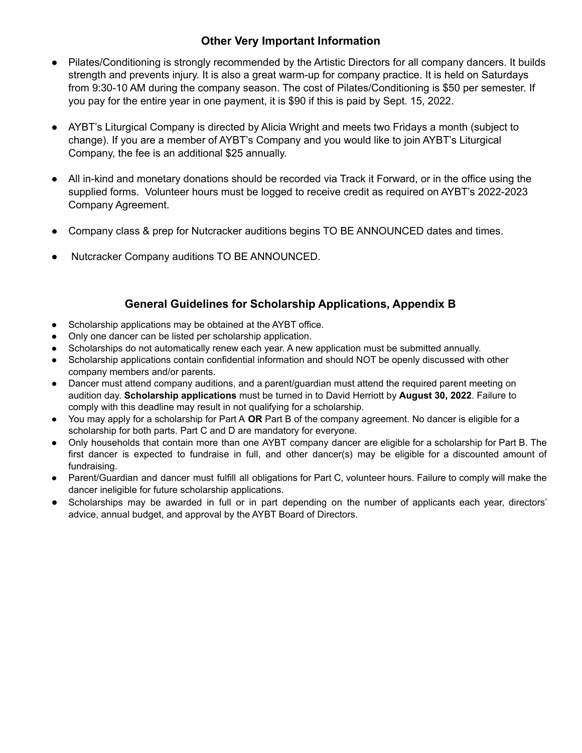### **Other Very Important Information**

- Pilates/Conditioning is strongly recommended by the Artistic Directors for all company dancers. It builds strength and prevents injury. It is also a great warm-up for company practice. It is held on Saturdays from 9:30-10 AM during the company season. The cost of Pilates/Conditioning is \$50 per semester. If you pay for the entire year in one payment, it is \$90 if this is paid by Sept. 15, 2022.
- AYBT's Liturgical Company is directed by Alicia Wright and meets two Fridays a month (subject to change). If you are a member of AYBT's Company and you would like to join AYBT's Liturgical Company, the fee is an additional \$25 annually.
- All in-kind and monetary donations should be recorded via Track it Forward, or in the office using the supplied forms. Volunteer hours must be logged to receive credit as required on AYBT's 2022-2023 Company Agreement.
- Company class & prep for Nutcracker auditions begins TO BE ANNOUNCED dates and times.
- Nutcracker Company auditions TO BE ANNOUNCED.

#### **General Guidelines for Scholarship Applications, Appendix B**

- Scholarship applications may be obtained at the AYBT office.
- Only one dancer can be listed per scholarship application.
- Scholarships do not automatically renew each year. A new application must be submitted annually.
- Scholarship applications contain confidential information and should NOT be openly discussed with other company members and/or parents.
- Dancer must attend company auditions, and a parent/quardian must attend the required parent meeting on audition day. **Scholarship applications** must be turned in to David Herriott by **August 30, 2022**. Failure to comply with this deadline may result in not qualifying for a scholarship.
- You may apply for a scholarship for Part A **OR** Part B of the company agreement. No dancer is eligible for a scholarship for both parts. Part C and D are mandatory for everyone.
- Only households that contain more than one AYBT company dancer are eligible for a scholarship for Part B. The first dancer is expected to fundraise in full, and other dancer(s) may be eligible for a discounted amount of fundraising.
- Parent/Guardian and dancer must fulfill all obligations for Part C, volunteer hours. Failure to comply will make the dancer ineligible for future scholarship applications.
- Scholarships may be awarded in full or in part depending on the number of applicants each year, directors' advice, annual budget, and approval by the AYBT Board of Directors.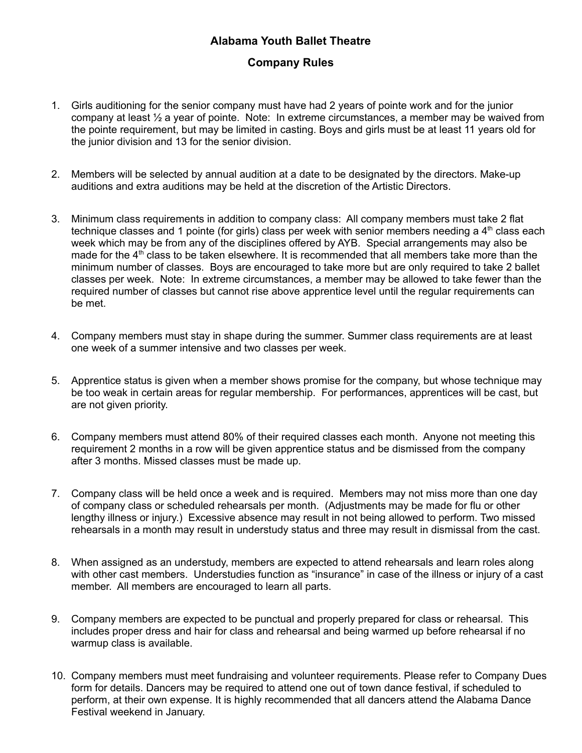## **Alabama Youth Ballet Theatre**

### **Company Rules**

- 1. Girls auditioning for the senior company must have had 2 years of pointe work and for the junior company at least  $\frac{1}{2}$  a year of pointe. Note: In extreme circumstances, a member may be waived from the pointe requirement, but may be limited in casting. Boys and girls must be at least 11 years old for the junior division and 13 for the senior division.
- 2. Members will be selected by annual audition at a date to be designated by the directors. Make-up auditions and extra auditions may be held at the discretion of the Artistic Directors.
- 3. Minimum class requirements in addition to company class: All company members must take 2 flat technique classes and 1 pointe (for girls) class per week with senior members needing a 4<sup>th</sup> class each week which may be from any of the disciplines offered by AYB. Special arrangements may also be made for the 4<sup>th</sup> class to be taken elsewhere. It is recommended that all members take more than the minimum number of classes. Boys are encouraged to take more but are only required to take 2 ballet classes per week. Note: In extreme circumstances, a member may be allowed to take fewer than the required number of classes but cannot rise above apprentice level until the regular requirements can be met.
- 4. Company members must stay in shape during the summer. Summer class requirements are at least one week of a summer intensive and two classes per week.
- 5. Apprentice status is given when a member shows promise for the company, but whose technique may be too weak in certain areas for regular membership. For performances, apprentices will be cast, but are not given priority.
- 6. Company members must attend 80% of their required classes each month. Anyone not meeting this requirement 2 months in a row will be given apprentice status and be dismissed from the company after 3 months. Missed classes must be made up.
- 7. Company class will be held once a week and is required. Members may not miss more than one day of company class or scheduled rehearsals per month. (Adjustments may be made for flu or other lengthy illness or injury.) Excessive absence may result in not being allowed to perform. Two missed rehearsals in a month may result in understudy status and three may result in dismissal from the cast.
- 8. When assigned as an understudy, members are expected to attend rehearsals and learn roles along with other cast members. Understudies function as "insurance" in case of the illness or injury of a cast member. All members are encouraged to learn all parts.
- 9. Company members are expected to be punctual and properly prepared for class or rehearsal. This includes proper dress and hair for class and rehearsal and being warmed up before rehearsal if no warmup class is available.
- 10. Company members must meet fundraising and volunteer requirements. Please refer to Company Dues form for details. Dancers may be required to attend one out of town dance festival, if scheduled to perform, at their own expense. It is highly recommended that all dancers attend the Alabama Dance Festival weekend in January.